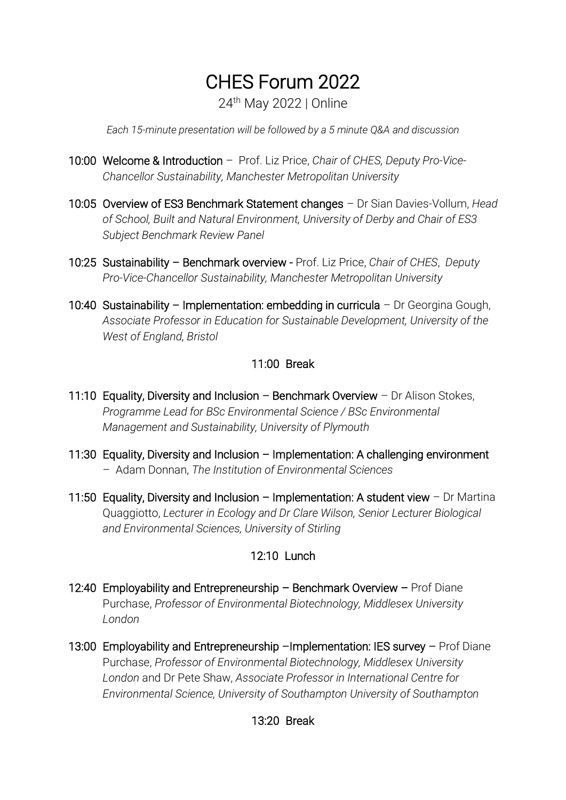# CHES Forum 2022

24th May 2022 | Online

*Each 15-minute presentation will be followed by a 5 minute Q&A and discussion*

- 10:00 Welcome & Introduction Prof. Liz Price, *Chair of CHES, Deputy Pro-Vice-Chancellor Sustainability, Manchester Metropolitan University*
- 10:05 Overview of ES3 Benchmark Statement changes Dr Sian Davies-Vollum, *Head of School, Built and Natural Environment, University of Derby and Chair of ES3 Subject Benchmark Review Panel*
- 10:25 Sustainability Benchmark overview Prof. Liz Price, *Chair of CHES*, *Deputy Pro-Vice-Chancellor Sustainability, Manchester Metropolitan University*
- 10:40 Sustainability Implementation: embedding in curricula Dr Georgina Gough, *Associate Professor in Education for Sustainable Development, University of the West of England, Bristol*

#### 11:00 Break

- 11:10 Equality, Diversity and Inclusion Benchmark Overview Dr Alison Stokes, *Programme Lead for BSc Environmental Science / BSc Environmental Management and Sustainability, University of Plymouth*
- 11:30 Equality, Diversity and Inclusion Implementation: A challenging environment – Adam Donnan, *The Institution of Environmental Sciences*
- 11:50 Equality, Diversity and Inclusion Implementation: A student view Dr Martina Quaggiotto, *Lecturer in Ecology and Dr Clare Wilson, Senior Lecturer Biological and Environmental Sciences, University of Stirling*

## 12:10 Lunch

- 12:40 Employability and Entrepreneurship Benchmark Overview Prof Diane Purchase, *Professor of Environmental Biotechnology, Middlesex University London*
- 13:00 Employability and Entrepreneurship –Implementation: IES survey Prof Diane Purchase, *Professor of Environmental Biotechnology, Middlesex University London* and Dr Pete Shaw, *Associate Professor in International Centre for Environmental Science, University of Southampton University of Southampton*

## 13:20 Break